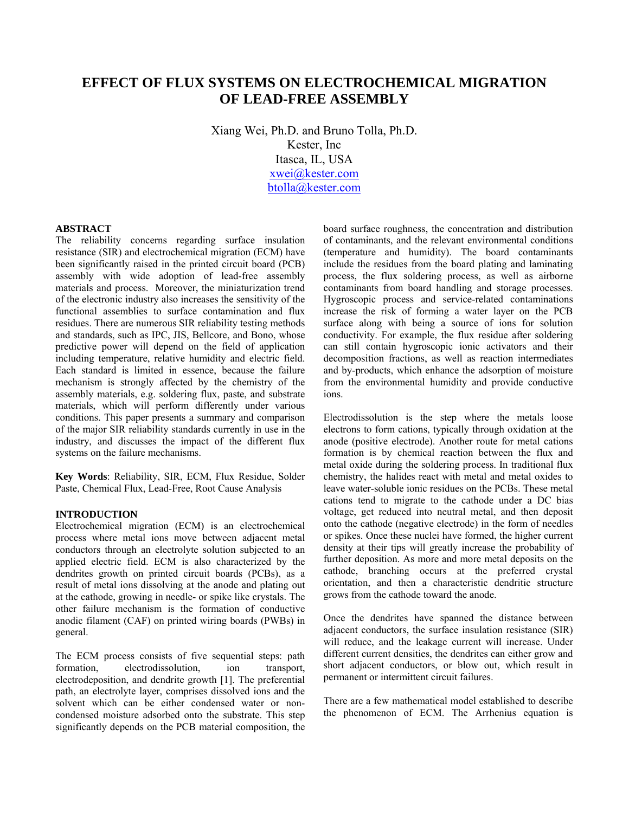# **EFFECT OF FLUX SYSTEMS ON ELECTROCHEMICAL MIGRATION OF LEAD-FREE ASSEMBLY**

Xiang Wei, Ph.D. and Bruno Tolla, Ph.D. Kester, Inc Itasca, IL, USA xwei@kester.com btolla@kester.com

## **ABSTRACT**

The reliability concerns regarding surface insulation resistance (SIR) and electrochemical migration (ECM) have been significantly raised in the printed circuit board (PCB) assembly with wide adoption of lead-free assembly materials and process. Moreover, the miniaturization trend of the electronic industry also increases the sensitivity of the functional assemblies to surface contamination and flux residues. There are numerous SIR reliability testing methods and standards, such as IPC, JIS, Bellcore, and Bono, whose predictive power will depend on the field of application including temperature, relative humidity and electric field. Each standard is limited in essence, because the failure mechanism is strongly affected by the chemistry of the assembly materials, e.g. soldering flux, paste, and substrate materials, which will perform differently under various conditions. This paper presents a summary and comparison of the major SIR reliability standards currently in use in the industry, and discusses the impact of the different flux systems on the failure mechanisms.

**Key Words**: Reliability, SIR, ECM, Flux Residue, Solder Paste, Chemical Flux, Lead-Free, Root Cause Analysis

## **INTRODUCTION**

Electrochemical migration (ECM) is an electrochemical process where metal ions move between adjacent metal conductors through an electrolyte solution subjected to an applied electric field. ECM is also characterized by the dendrites growth on printed circuit boards (PCBs), as a result of metal ions dissolving at the anode and plating out at the cathode, growing in needle- or spike like crystals. The other failure mechanism is the formation of conductive anodic filament (CAF) on printed wiring boards (PWBs) in general.

The ECM process consists of five sequential steps: path formation, electrodissolution, ion transport, electrodeposition, and dendrite growth [1]. The preferential path, an electrolyte layer, comprises dissolved ions and the solvent which can be either condensed water or noncondensed moisture adsorbed onto the substrate. This step significantly depends on the PCB material composition, the

board surface roughness, the concentration and distribution of contaminants, and the relevant environmental conditions (temperature and humidity). The board contaminants include the residues from the board plating and laminating process, the flux soldering process, as well as airborne contaminants from board handling and storage processes. Hygroscopic process and service-related contaminations increase the risk of forming a water layer on the PCB surface along with being a source of ions for solution conductivity. For example, the flux residue after soldering can still contain hygroscopic ionic activators and their decomposition fractions, as well as reaction intermediates and by-products, which enhance the adsorption of moisture from the environmental humidity and provide conductive ions.

Electrodissolution is the step where the metals loose electrons to form cations, typically through oxidation at the anode (positive electrode). Another route for metal cations formation is by chemical reaction between the flux and metal oxide during the soldering process. In traditional flux chemistry, the halides react with metal and metal oxides to leave water-soluble ionic residues on the PCBs. These metal cations tend to migrate to the cathode under a DC bias voltage, get reduced into neutral metal, and then deposit onto the cathode (negative electrode) in the form of needles or spikes. Once these nuclei have formed, the higher current density at their tips will greatly increase the probability of further deposition. As more and more metal deposits on the cathode, branching occurs at the preferred crystal orientation, and then a characteristic dendritic structure grows from the cathode toward the anode.

Once the dendrites have spanned the distance between adjacent conductors, the surface insulation resistance (SIR) will reduce, and the leakage current will increase. Under different current densities, the dendrites can either grow and short adjacent conductors, or blow out, which result in permanent or intermittent circuit failures.

There are a few mathematical model established to describe the phenomenon of ECM. The Arrhenius equation is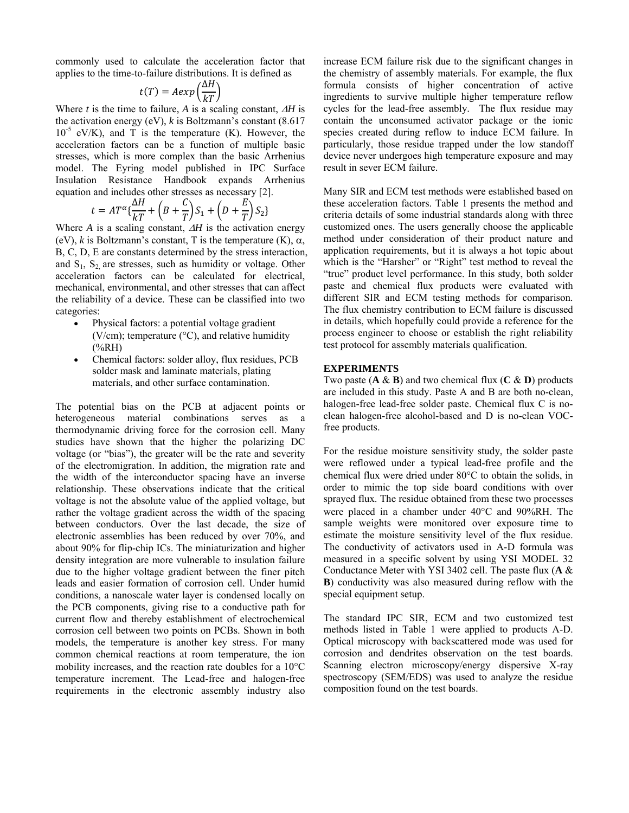commonly used to calculate the acceleration factor that applies to the time-to-failure distributions. It is defined as

$$
t(T) = A \exp\left(\frac{\Delta H}{kT}\right)
$$

Where *t* is the time to failure, *A* is a scaling constant,  $\Delta H$  is the activation energy (eV), *k* is Boltzmann's constant (8.617  $10^{-5}$  eV/K), and T is the temperature (K). However, the acceleration factors can be a function of multiple basic stresses, which is more complex than the basic Arrhenius model. The Eyring model published in IPC Surface Insulation Resistance Handbook expands Arrhenius equation and includes other stresses as necessary [2].

$$
t = AT^{\alpha} \left\{ \frac{\Delta H}{kT} + \left( B + \frac{C}{T} \right) S_1 + \left( D + \frac{E}{T} \right) S_2 \right\}
$$

Where *A* is a scaling constant,  $\Delta H$  is the activation energy (eV), *k* is Boltzmann's constant, T is the temperature  $(K)$ ,  $\alpha$ , B, C, D, E are constants determined by the stress interaction, and  $S_1$ ,  $S_2$  are stresses, such as humidity or voltage. Other acceleration factors can be calculated for electrical, mechanical, environmental, and other stresses that can affect the reliability of a device. These can be classified into two categories:

- Physical factors: a potential voltage gradient (V/cm); temperature ( $\rm{°C}$ ), and relative humidity  $(\%RH)$
- Chemical factors: solder alloy, flux residues, PCB solder mask and laminate materials, plating materials, and other surface contamination.

The potential bias on the PCB at adjacent points or heterogeneous material combinations serves as a thermodynamic driving force for the corrosion cell. Many studies have shown that the higher the polarizing DC voltage (or "bias"), the greater will be the rate and severity of the electromigration. In addition, the migration rate and the width of the interconductor spacing have an inverse relationship. These observations indicate that the critical voltage is not the absolute value of the applied voltage, but rather the voltage gradient across the width of the spacing between conductors. Over the last decade, the size of electronic assemblies has been reduced by over 70%, and about 90% for flip-chip ICs. The miniaturization and higher density integration are more vulnerable to insulation failure due to the higher voltage gradient between the finer pitch leads and easier formation of corrosion cell. Under humid conditions, a nanoscale water layer is condensed locally on the PCB components, giving rise to a conductive path for current flow and thereby establishment of electrochemical corrosion cell between two points on PCBs. Shown in both models, the temperature is another key stress. For many common chemical reactions at room temperature, the ion mobility increases, and the reaction rate doubles for a  $10^{\circ}$ C temperature increment. The Lead-free and halogen-free requirements in the electronic assembly industry also

increase ECM failure risk due to the significant changes in the chemistry of assembly materials. For example, the flux formula consists of higher concentration of active ingredients to survive multiple higher temperature reflow cycles for the lead-free assembly. The flux residue may contain the unconsumed activator package or the ionic species created during reflow to induce ECM failure. In particularly, those residue trapped under the low standoff device never undergoes high temperature exposure and may result in sever ECM failure.

Many SIR and ECM test methods were established based on these acceleration factors. Table 1 presents the method and criteria details of some industrial standards along with three customized ones. The users generally choose the applicable method under consideration of their product nature and application requirements, but it is always a hot topic about which is the "Harsher" or "Right" test method to reveal the "true" product level performance. In this study, both solder paste and chemical flux products were evaluated with different SIR and ECM testing methods for comparison. The flux chemistry contribution to ECM failure is discussed in details, which hopefully could provide a reference for the process engineer to choose or establish the right reliability test protocol for assembly materials qualification.

#### **EXPERIMENTS**

Two paste  $(A \& B)$  and two chemical flux  $(C \& D)$  products are included in this study. Paste A and B are both no-clean, halogen-free lead-free solder paste. Chemical flux C is noclean halogen-free alcohol-based and D is no-clean VOCfree products.

For the residue moisture sensitivity study, the solder paste were reflowed under a typical lead-free profile and the chemical flux were dried under  $80^{\circ}$ C to obtain the solids, in order to mimic the top side board conditions with over sprayed flux. The residue obtained from these two processes were placed in a chamber under 40°C and 90%RH. The sample weights were monitored over exposure time to estimate the moisture sensitivity level of the flux residue. The conductivity of activators used in A-D formula was measured in a specific solvent by using YSI MODEL 32 Conductance Meter with YSI 3402 cell. The paste flux (**A** & **B**) conductivity was also measured during reflow with the special equipment setup.

The standard IPC SIR, ECM and two customized test methods listed in Table 1 were applied to products A-D. Optical microscopy with backscattered mode was used for corrosion and dendrites observation on the test boards. Scanning electron microscopy/energy dispersive X-ray spectroscopy (SEM/EDS) was used to analyze the residue composition found on the test boards.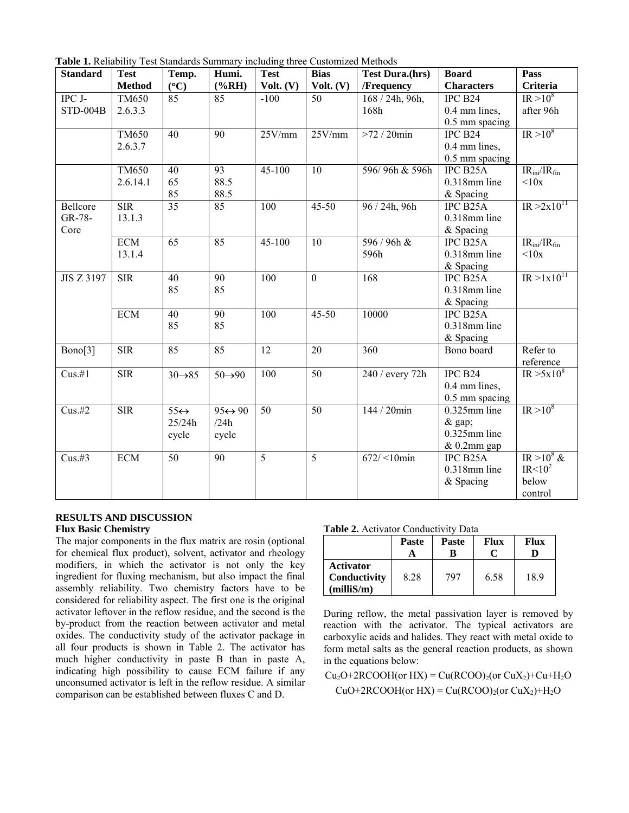**Table 1.** Reliability Test Standards Summary including three Customized Methods

| <b>Standard</b> | <b>Test</b>   | Temp.                | Humi.                   | <b>Test</b>    | <b>Bias</b>     | <b>Test Dura.(hrs)</b> | <b>Board</b>          | Pass                              |
|-----------------|---------------|----------------------|-------------------------|----------------|-----------------|------------------------|-----------------------|-----------------------------------|
|                 | <b>Method</b> | $(^{\circ}C)$        | $(%$ (%RH)              | Volt. (V)      | Volt. (V)       | /Frequency             | <b>Characters</b>     | <b>Criteria</b>                   |
| IPC J-          | <b>TM650</b>  | 85                   | 85                      | $-100$         | 50              | 168 / 24h, 96h,        | IPC B24               | $IR > 10^8$                       |
| <b>STD-004B</b> | 2.6.3.3       |                      |                         |                |                 | 168h                   | 0.4 mm lines,         | after 96h                         |
|                 |               |                      |                         |                |                 |                        | 0.5 mm spacing        |                                   |
|                 | <b>TM650</b>  | 40                   | 90                      | 25V/mm         | 25V/mm          | $>72/20$ min           | IPC B24               | $IR > 10^8$                       |
|                 | 2.6.3.7       |                      |                         |                |                 |                        | 0.4 mm lines,         |                                   |
|                 |               |                      |                         |                |                 |                        | 0.5 mm spacing        |                                   |
|                 | <b>TM650</b>  | 40                   | $\overline{93}$         | $45 - 100$     | $\overline{10}$ | 596/96h & 596h         | IPC B25A              | $IR_{\text{ini}}/IR_{\text{fin}}$ |
|                 | 2.6.14.1      | 65                   | 88.5                    |                |                 |                        | $0.318$ mm line       | <10x                              |
|                 |               | 85                   | 88.5                    |                |                 |                        | & Spacing             |                                   |
| Bellcore        | <b>SIR</b>    | 35                   | 85                      | 100            | 45-50           | 96 / 24h, 96h          | IPC B25A              | $IR > 2 \times 10^{11}$           |
| GR-78-          | 13.1.3        |                      |                         |                |                 |                        | $0.318$ mm line       |                                   |
| Core            |               |                      |                         |                |                 |                        | & Spacing             |                                   |
|                 | <b>ECM</b>    | $\overline{65}$      | 85                      | 45-100         | 10              | 596 / 96h &            | <b>IPC B25A</b>       | $IR_{\text{ini}}/IR_{\text{fin}}$ |
|                 | 13.1.4        |                      |                         |                |                 | 596h                   | $0.318$ mm line       | <10x                              |
|                 |               |                      |                         |                |                 |                        | & Spacing             |                                   |
| JIS Z 3197      | <b>SIR</b>    | 40                   | 90                      | 100            | $\theta$        | 168                    | IPC B25A              | $IR > 1 \times 10^{11}$           |
|                 |               | 85                   | 85                      |                |                 |                        | $0.318$ mm line       |                                   |
|                 |               |                      |                         |                |                 |                        | & Spacing             |                                   |
|                 | <b>ECM</b>    | $\overline{40}$      | $\overline{90}$         | 100            | $45 - 50$       | 10000                  | IPC B <sub>25</sub> A |                                   |
|                 |               | 85                   | 85                      |                |                 |                        | $0.318$ mm line       |                                   |
|                 |               |                      |                         |                |                 |                        | & Spacing             |                                   |
| Bono[3]         | <b>SIR</b>    | $\overline{85}$      | $\overline{85}$         | 12             | 20              | 360                    | Bono board            | Refer to                          |
|                 |               |                      |                         |                |                 |                        |                       | reference                         |
| $Cus. \#1$      | <b>SIR</b>    | $30 \rightarrow 85$  | $50 \rightarrow 90$     | 100            | 50              | 240 / every 72h        | $IPC$ B <sub>24</sub> | $IR > 5 \times 10^8$              |
|                 |               |                      |                         |                |                 |                        | 0.4 mm lines,         |                                   |
|                 |               |                      |                         |                |                 |                        | 0.5 mm spacing        |                                   |
| Cus.#2          | <b>SIR</b>    | $55 \leftrightarrow$ | $95 \leftrightarrow 90$ | 50             | 50              | 144 / 20min            | $0.325$ mm line       | $IR > 10^8$                       |
|                 |               | 25/24h               | /24h                    |                |                 |                        | $\&$ gap;             |                                   |
|                 |               | cycle                | cycle                   |                |                 |                        | $0.325$ mm line       |                                   |
|                 |               |                      |                         |                |                 |                        | $& 0.2$ mm gap        |                                   |
| Cus.#3          | <b>ECM</b>    | $\overline{50}$      | $\overline{90}$         | $\overline{5}$ | $\overline{5}$  | $672 / < 10$ min       | <b>IPC B25A</b>       | IR > $10^8$ &                     |
|                 |               |                      |                         |                |                 |                        | $0.318$ mm line       | IR<10 <sup>2</sup>                |
|                 |               |                      |                         |                |                 |                        | & Spacing             | below                             |
|                 |               |                      |                         |                |                 |                        |                       | control                           |

## **RESULTS AND DISCUSSION**

#### **Flux Basic Chemistry**

The major components in the flux matrix are rosin (optional for chemical flux product), solvent, activator and rheology modifiers, in which the activator is not only the key ingredient for fluxing mechanism, but also impact the final assembly reliability. Two chemistry factors have to be considered for reliability aspect. The first one is the original activator leftover in the reflow residue, and the second is the by-product from the reaction between activator and metal oxides. The conductivity study of the activator package in all four products is shown in Table 2. The activator has much higher conductivity in paste B than in paste A, indicating high possibility to cause ECM failure if any unconsumed activator is left in the reflow residue. A similar comparison can be established between fluxes C and D.

## **Table 2.** Activator Conductivity Data

|                                                | Paste<br>A | <b>Paste</b> | Flux | Flux |
|------------------------------------------------|------------|--------------|------|------|
| <b>Activator</b><br>Conductivity<br>(milliS/m) | 8.28       | 797          | 6.58 | 18.9 |

During reflow, the metal passivation layer is removed by reaction with the activator. The typical activators are carboxylic acids and halides. They react with metal oxide to form metal salts as the general reaction products, as shown in the equations below:

 $Cu<sub>2</sub>O+2RCOOH (or HX) = Cu(RCOO)<sub>2</sub>(or CuX<sub>2</sub>) + Cu+H<sub>2</sub>O$ 

 $CuO+2RCOOH (or HX) = Cu(RCOO)_{2}(or CuX_{2})+H_{2}O$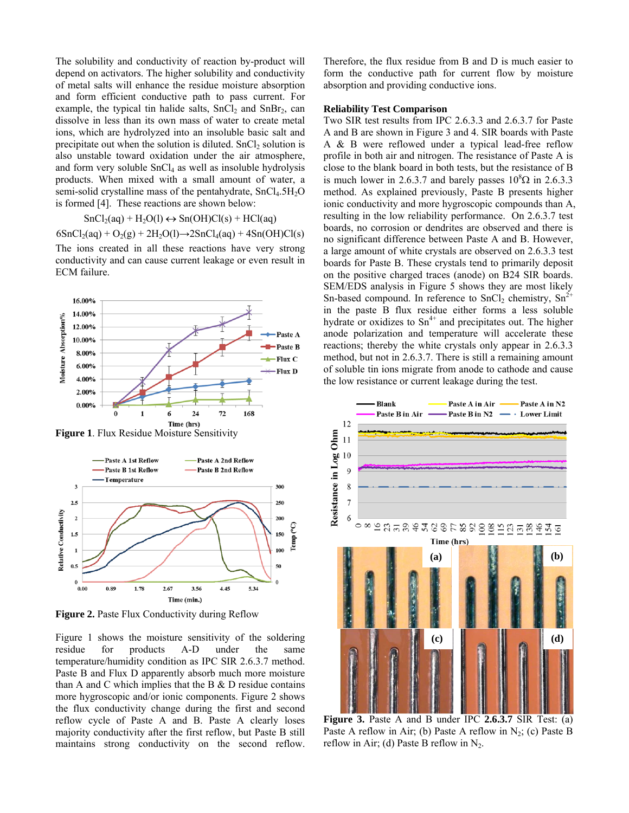The solubility and conductivity of reaction by-product will depend on activators. The higher solubility and conductivity of metal salts will enhance the residue moisture absorption and form efficient conductive path to pass current. For example, the typical tin halide salts,  $SnCl<sub>2</sub>$  and  $SnBr<sub>2</sub>$ , can dissolve in less than its own mass of water to create metal ions, which are hydrolyzed into an insoluble basic salt and precipitate out when the solution is diluted.  $SnCl<sub>2</sub>$  solution is also unstable toward oxidation under the air atmosphere, and form very soluble  $SnCl<sub>4</sub>$  as well as insoluble hydrolysis products. When mixed with a small amount of water, a semi-solid crystalline mass of the pentahydrate,  $SnCl<sub>4</sub>.5H<sub>2</sub>O$ is formed [4]. These reactions are shown below:

 $SnCl<sub>2</sub>(aq) + H<sub>2</sub>O(l) \leftrightarrow Sn(OH)Cl(s) + HCl(aq)$ 

 $6SnCl<sub>2</sub>(aq) + O<sub>2</sub>(g) + 2H<sub>2</sub>O(l) \rightarrow 2SnCl<sub>4</sub>(aq) + 4Sn(OH)Cl(s)$ The ions created in all these reactions have very strong conductivity and can cause current leakage or even result in ECM failure.



**Figure 1**. Flux Residue Moisture Sensitivity



**Figure 2.** Paste Flux Conductivity during Reflow

Figure 1 shows the moisture sensitivity of the soldering residue for products A-D under the same temperature/humidity condition as IPC SIR 2.6.3.7 method. Paste B and Flux D apparently absorb much more moisture than A and C which implies that the B  $&$  D residue contains more hygroscopic and/or ionic components. Figure 2 shows the flux conductivity change during the first and second reflow cycle of Paste A and B. Paste A clearly loses majority conductivity after the first reflow, but Paste B still maintains strong conductivity on the second reflow.

Therefore, the flux residue from B and D is much easier to form the conductive path for current flow by moisture absorption and providing conductive ions.

#### **Reliability Test Comparison**

Two SIR test results from IPC 2.6.3.3 and 2.6.3.7 for Paste A and B are shown in Figure 3 and 4. SIR boards with Paste A & B were reflowed under a typical lead-free reflow profile in both air and nitrogen. The resistance of Paste A is close to the blank board in both tests, but the resistance of B is much lower in 2.6.3.7 and barely passes  $10^8\Omega$  in 2.6.3.3 method. As explained previously, Paste B presents higher ionic conductivity and more hygroscopic compounds than A, resulting in the low reliability performance. On 2.6.3.7 test boards, no corrosion or dendrites are observed and there is no significant difference between Paste A and B. However, a large amount of white crystals are observed on 2.6.3.3 test boards for Paste B. These crystals tend to primarily deposit on the positive charged traces (anode) on B24 SIR boards. SEM/EDS analysis in Figure 5 shows they are most likely Sn-based compound. In reference to SnCl<sub>2</sub> chemistry,  $Sn<sup>2+</sup>$ in the paste B flux residue either forms a less soluble hydrate or oxidizes to  $Sn^{4+}$  and precipitates out. The higher anode polarization and temperature will accelerate these reactions; thereby the white crystals only appear in 2.6.3.3 method, but not in 2.6.3.7. There is still a remaining amount of soluble tin ions migrate from anode to cathode and cause the low resistance or current leakage during the test.



 **Figure 3.** Paste A and B under IPC **2.6.3.7** SIR Test: (a) Paste A reflow in Air; (b) Paste A reflow in  $N_2$ ; (c) Paste B reflow in Air; (d) Paste B reflow in  $N_2$ .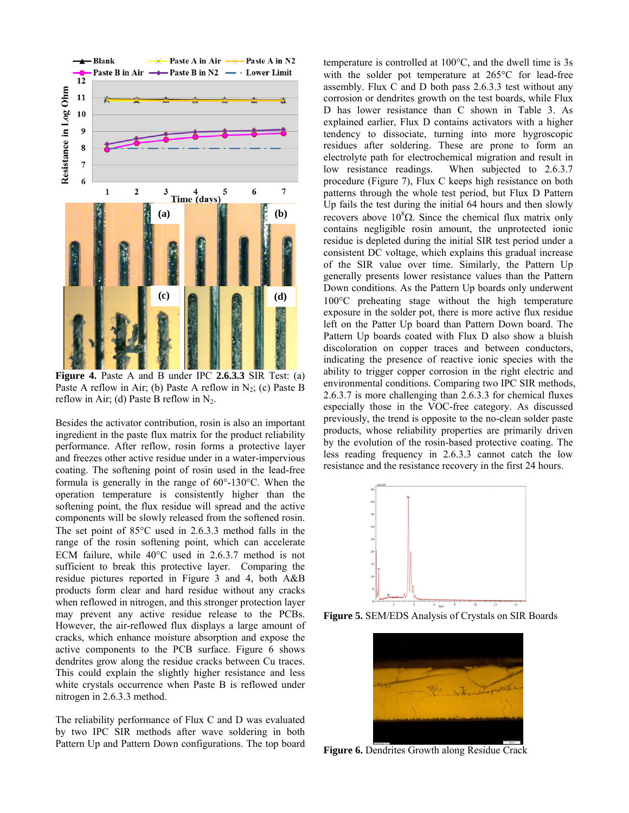

 **Figure 4.** Paste A and B under IPC **2.6.3.3** SIR Test: (a) Paste A reflow in Air; (b) Paste A reflow in  $N_2$ ; (c) Paste B reflow in Air; (d) Paste B reflow in  $N_2$ .

Besides the activator contribution, rosin is also an important ingredient in the paste flux matrix for the product reliability performance. After reflow, rosin forms a protective layer and freezes other active residue under in a water-impervious coating. The softening point of rosin used in the lead-free formula is generally in the range of  $60^{\circ}$ -130 $^{\circ}$ C. When the operation temperature is consistently higher than the softening point, the flux residue will spread and the active components will be slowly released from the softened rosin. The set point of  $85^{\circ}$ C used in 2.6.3.3 method falls in the range of the rosin softening point, which can accelerate ECM failure, while  $40^{\circ}$ C used in 2.6.3.7 method is not sufficient to break this protective layer. Comparing the residue pictures reported in Figure 3 and 4, both A&B products form clear and hard residue without any cracks when reflowed in nitrogen, and this stronger protection layer may prevent any active residue release to the PCBs. However, the air-reflowed flux displays a large amount of cracks, which enhance moisture absorption and expose the active components to the PCB surface. Figure 6 shows dendrites grow along the residue cracks between Cu traces. This could explain the slightly higher resistance and less white crystals occurrence when Paste B is reflowed under nitrogen in 2.6.3.3 method.

The reliability performance of Flux C and D was evaluated by two IPC SIR methods after wave soldering in both Pattern Up and Pattern Down configurations. The top board temperature is controlled at  $100^{\circ}$ C, and the dwell time is 3s with the solder pot temperature at  $265^{\circ}$ C for lead-free assembly. Flux C and D both pass 2.6.3.3 test without any corrosion or dendrites growth on the test boards, while Flux D has lower resistance than C shown in Table 3. As explained earlier, Flux D contains activators with a higher tendency to dissociate, turning into more hygroscopic residues after soldering. These are prone to form an electrolyte path for electrochemical migration and result in low resistance readings. When subjected to 2.6.3.7 procedure (Figure 7), Flux C keeps high resistance on both patterns through the whole test period, but Flux D Pattern Up fails the test during the initial 64 hours and then slowly recovers above  $10^8\Omega$ . Since the chemical flux matrix only contains negligible rosin amount, the unprotected ionic residue is depleted during the initial SIR test period under a consistent DC voltage, which explains this gradual increase of the SIR value over time. Similarly, the Pattern Up generally presents lower resistance values than the Pattern Down conditions. As the Pattern Up boards only underwent 100C preheating stage without the high temperature exposure in the solder pot, there is more active flux residue left on the Patter Up board than Pattern Down board. The Pattern Up boards coated with Flux D also show a bluish discoloration on copper traces and between conductors, indicating the presence of reactive ionic species with the ability to trigger copper corrosion in the right electric and environmental conditions. Comparing two IPC SIR methods, 2.6.3.7 is more challenging than 2.6.3.3 for chemical fluxes especially those in the VOC-free category. As discussed previously, the trend is opposite to the no-clean solder paste products, whose reliability properties are primarily driven by the evolution of the rosin-based protective coating. The less reading frequency in 2.6.3.3 cannot catch the low resistance and the resistance recovery in the first 24 hours.



**Figure 5.** SEM/EDS Analysis of Crystals on SIR Boards



**Figure 6.** Dendrites Growth along Residue Crack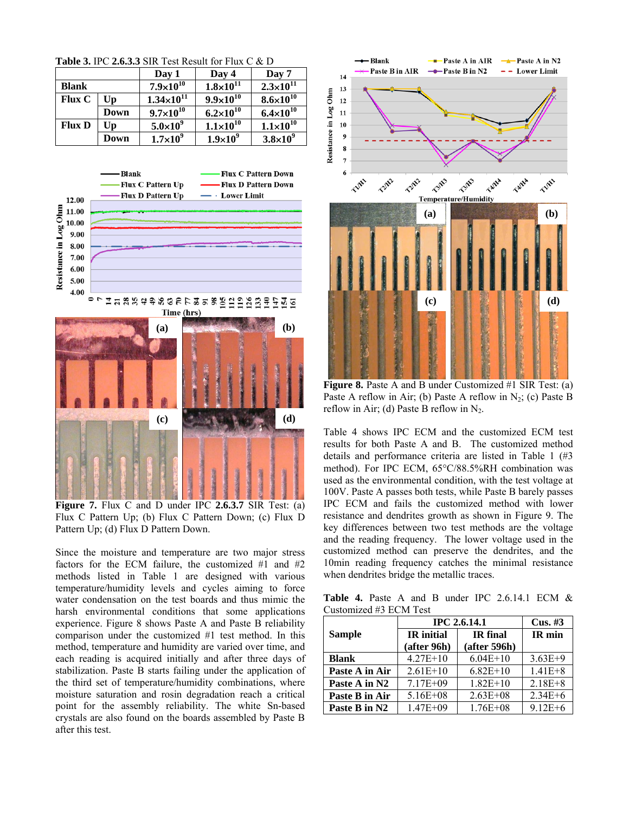**Table 3.** IPC **2.6.3.3** SIR Test Result for Flux C & D

|               |      | Day 1               | Day 4              | Day 7                |
|---------------|------|---------------------|--------------------|----------------------|
| <b>Blank</b>  |      | $7.9\times10^{10}$  | $1.8\times10^{11}$ | $2.3 \times 10^{11}$ |
| Flux C        | Up   | $1.34\times10^{11}$ | $9.9\times10^{10}$ | $8.6\times10^{10}$   |
|               | Down | $9.7\times10^{10}$  | $6.2\times10^{10}$ | $6.4\times10^{10}$   |
| <b>Flux D</b> | Up   | $5.0 \times 10^{9}$ | $1.1\times10^{10}$ | $1.1 \times 10^{10}$ |
|               | Down | $1.7\times10^{9}$   | $1.9\times10^{9}$  | $3.8\times10^9$      |



 **Figure 7.** Flux C and D under IPC **2.6.3.7** SIR Test: (a) Flux C Pattern Up; (b) Flux C Pattern Down; (c) Flux D Pattern Up; (d) Flux D Pattern Down.

Since the moisture and temperature are two major stress factors for the ECM failure, the customized #1 and #2 methods listed in Table 1 are designed with various temperature/humidity levels and cycles aiming to force water condensation on the test boards and thus mimic the harsh environmental conditions that some applications experience. Figure 8 shows Paste A and Paste B reliability comparison under the customized #1 test method. In this method, temperature and humidity are varied over time, and each reading is acquired initially and after three days of stabilization. Paste B starts failing under the application of the third set of temperature/humidity combinations, where moisture saturation and rosin degradation reach a critical point for the assembly reliability. The white Sn-based crystals are also found on the boards assembled by Paste B after this test.



**Figure 8.** Paste A and B under Customized #1 SIR Test: (a) Paste A reflow in Air; (b) Paste A reflow in  $N_2$ ; (c) Paste B reflow in Air; (d) Paste B reflow in  $N_2$ .

Table 4 shows IPC ECM and the customized ECM test results for both Paste A and B. The customized method details and performance criteria are listed in Table 1 (#3 method). For IPC ECM, 65°C/88.5%RH combination was used as the environmental condition, with the test voltage at 100V. Paste A passes both tests, while Paste B barely passes IPC ECM and fails the customized method with lower resistance and dendrites growth as shown in Figure 9. The key differences between two test methods are the voltage and the reading frequency. The lower voltage used in the customized method can preserve the dendrites, and the 10min reading frequency catches the minimal resistance when dendrites bridge the metallic traces.

**Table 4.** Paste A and B under IPC 2.6.14.1 ECM & Customized #3 ECM Test

|                | <b>IPC 2.6.14.1</b> | $Cus.$ #3       |               |
|----------------|---------------------|-----------------|---------------|
| <b>Sample</b>  | <b>IR</b> initial   | <b>IR</b> final | <b>IR</b> min |
|                | (after 96h)         | (after 596h)    |               |
| <b>Blank</b>   | $4.27E+10$          | $6.04E+10$      | $3.63E+9$     |
| Paste A in Air | $2.61E+10$          | $6.82E+10$      | $1.41E + 8$   |
| Paste A in N2  | $7.17E + 09$        | $1.82E+10$      | $2.18E + 8$   |
| Paste B in Air | $5.16E + 08$        | $2.63E + 08$    | $2.34E + 6$   |
| Paste B in N2  | $1.47E + 09$        | $1.76E + 08$    | $9.12E + 6$   |